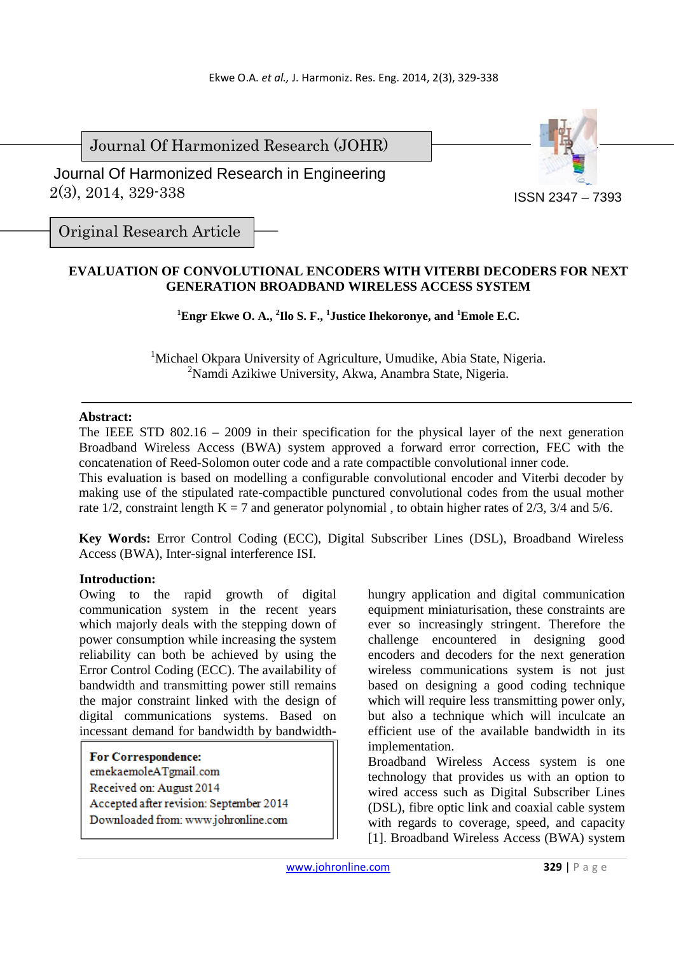Journal Of Harmonized Research (JOHR)

 2(3), 2014, 329-338 Journal Of Harmonized Research in Engineering



Original Research Article

# **EVALUATION OF CONVOLUTIONAL ENCODERS WITH VITERBI DECODERS FOR NEXT GENERATION BROADBAND WIRELESS ACCESS SYSTEM**

**<sup>1</sup>Engr Ekwe O. A., <sup>2</sup> Ilo S. F., <sup>1</sup> Justice Ihekoronye, and <sup>1</sup>Emole E.C.** 

<sup>1</sup>Michael Okpara University of Agriculture, Umudike, Abia State, Nigeria. <sup>2</sup>Namdi Azikiwe University, Akwa, Anambra State, Nigeria.

### **Abstract:**

The IEEE STD 802.16 – 2009 in their specification for the physical layer of the next generation Broadband Wireless Access (BWA) system approved a forward error correction, FEC with the concatenation of Reed-Solomon outer code and a rate compactible convolutional inner code.

This evaluation is based on modelling a configurable convolutional encoder and Viterbi decoder by making use of the stipulated rate-compactible punctured convolutional codes from the usual mother rate 1/2, constraint length  $K = 7$  and generator polynomial, to obtain higher rates of 2/3, 3/4 and 5/6.

**Key Words:** Error Control Coding (ECC), Digital Subscriber Lines (DSL), Broadband Wireless Access (BWA), Inter-signal interference ISI.

### **Introduction:**

Owing to the rapid growth of digital communication system in the recent years which majorly deals with the stepping down of power consumption while increasing the system reliability can both be achieved by using the Error Control Coding (ECC). The availability of bandwidth and transmitting power still remains the major constraint linked with the design of digital communications systems. Based on incessant demand for bandwidth by bandwidth-

**For Correspondence:**  emekaemoleATgmail.com Received on: August 2014 Accepted after revision: September 2014 Downloaded from: www.johronline.com

hungry application and digital communication equipment miniaturisation, these constraints are ever so increasingly stringent. Therefore the challenge encountered in designing good encoders and decoders for the next generation wireless communications system is not just based on designing a good coding technique which will require less transmitting power only, but also a technique which will inculcate an efficient use of the available bandwidth in its implementation.

Broadband Wireless Access system is one technology that provides us with an option to wired access such as Digital Subscriber Lines (DSL), fibre optic link and coaxial cable system with regards to coverage, speed, and capacity [1]. Broadband Wireless Access (BWA) system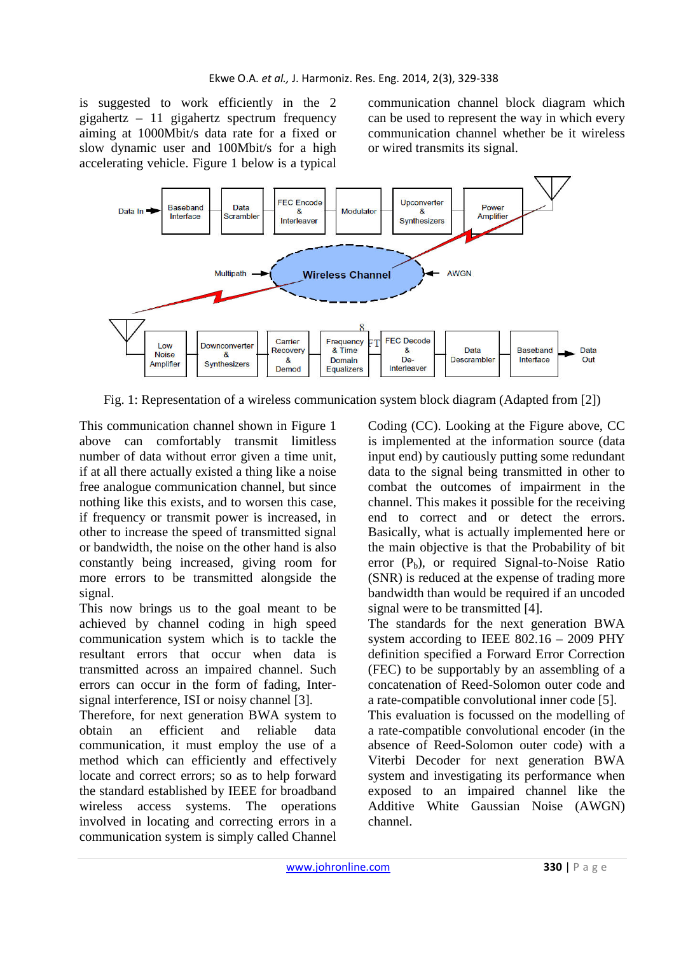is suggested to work efficiently in the 2 gigahertz – 11 gigahertz spectrum frequency aiming at 1000Mbit/s data rate for a fixed or slow dynamic user and 100Mbit/s for a high accelerating vehicle. Figure 1 below is a typical

communication channel block diagram which can be used to represent the way in which every communication channel whether be it wireless or wired transmits its signal.



Fig. 1: Representation of a wireless communication system block diagram (Adapted from [2])

This communication channel shown in Figure 1 above can comfortably transmit limitless number of data without error given a time unit, if at all there actually existed a thing like a noise free analogue communication channel, but since nothing like this exists, and to worsen this case, if frequency or transmit power is increased, in other to increase the speed of transmitted signal or bandwidth, the noise on the other hand is also constantly being increased, giving room for more errors to be transmitted alongside the signal.

This now brings us to the goal meant to be achieved by channel coding in high speed communication system which is to tackle the resultant errors that occur when data is transmitted across an impaired channel. Such errors can occur in the form of fading, Intersignal interference, ISI or noisy channel [3].

Therefore, for next generation BWA system to obtain an efficient and reliable data communication, it must employ the use of a method which can efficiently and effectively locate and correct errors; so as to help forward the standard established by IEEE for broadband wireless access systems. The operations involved in locating and correcting errors in a communication system is simply called Channel Coding (CC). Looking at the Figure above, CC is implemented at the information source (data input end) by cautiously putting some redundant data to the signal being transmitted in other to combat the outcomes of impairment in the channel. This makes it possible for the receiving end to correct and or detect the errors. Basically, what is actually implemented here or the main objective is that the Probability of bit error  $(P_b)$ , or required Signal-to-Noise Ratio (SNR) is reduced at the expense of trading more bandwidth than would be required if an uncoded signal were to be transmitted [4].

The standards for the next generation BWA system according to IEEE 802.16 – 2009 PHY definition specified a Forward Error Correction (FEC) to be supportably by an assembling of a concatenation of Reed-Solomon outer code and a rate-compatible convolutional inner code [5].

This evaluation is focussed on the modelling of a rate-compatible convolutional encoder (in the absence of Reed-Solomon outer code) with a Viterbi Decoder for next generation BWA system and investigating its performance when exposed to an impaired channel like the Additive White Gaussian Noise (AWGN) channel.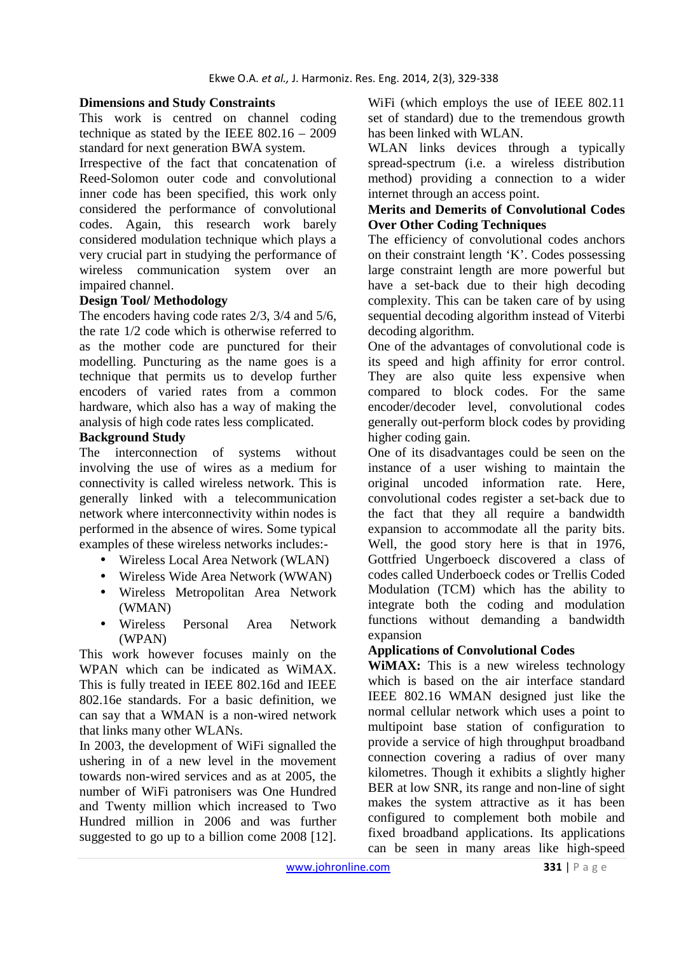## **Dimensions and Study Constraints**

This work is centred on channel coding technique as stated by the IEEE  $802.16 - 2009$ standard for next generation BWA system.

Irrespective of the fact that concatenation of Reed-Solomon outer code and convolutional inner code has been specified, this work only considered the performance of convolutional codes. Again, this research work barely considered modulation technique which plays a very crucial part in studying the performance of wireless communication system over an impaired channel.

### **Design Tool/ Methodology**

The encoders having code rates 2/3, 3/4 and 5/6, the rate 1/2 code which is otherwise referred to as the mother code are punctured for their modelling. Puncturing as the name goes is a technique that permits us to develop further encoders of varied rates from a common hardware, which also has a way of making the analysis of high code rates less complicated.

### **Background Study**

The interconnection of systems without involving the use of wires as a medium for connectivity is called wireless network. This is generally linked with a telecommunication network where interconnectivity within nodes is performed in the absence of wires. Some typical examples of these wireless networks includes:-

- Wireless Local Area Network (WLAN)
- Wireless Wide Area Network (WWAN)
- Wireless Metropolitan Area Network (WMAN)
- Wireless Personal Area Network (WPAN)

This work however focuses mainly on the WPAN which can be indicated as WiMAX. This is fully treated in IEEE 802.16d and IEEE 802.16e standards. For a basic definition, we can say that a WMAN is a non-wired network that links many other WLANs.

In 2003, the development of WiFi signalled the ushering in of a new level in the movement towards non-wired services and as at 2005, the number of WiFi patronisers was One Hundred and Twenty million which increased to Two Hundred million in 2006 and was further suggested to go up to a billion come 2008 [12]. WiFi (which employs the use of IEEE 802.11 set of standard) due to the tremendous growth has been linked with WLAN.

WLAN links devices through a typically spread-spectrum (i.e. a wireless distribution method) providing a connection to a wider internet through an access point.

## **Merits and Demerits of Convolutional Codes Over Other Coding Techniques**

The efficiency of convolutional codes anchors on their constraint length 'K'. Codes possessing large constraint length are more powerful but have a set-back due to their high decoding complexity. This can be taken care of by using sequential decoding algorithm instead of Viterbi decoding algorithm.

One of the advantages of convolutional code is its speed and high affinity for error control. They are also quite less expensive when compared to block codes. For the same encoder/decoder level, convolutional codes generally out-perform block codes by providing higher coding gain.

One of its disadvantages could be seen on the instance of a user wishing to maintain the original uncoded information rate. Here, convolutional codes register a set-back due to the fact that they all require a bandwidth expansion to accommodate all the parity bits. Well, the good story here is that in 1976, Gottfried Ungerboeck discovered a class of codes called Underboeck codes or Trellis Coded Modulation (TCM) which has the ability to integrate both the coding and modulation functions without demanding a bandwidth expansion

### **Applications of Convolutional Codes**

**WIMAX:** This is a new wireless technology which is based on the air interface standard IEEE 802.16 WMAN designed just like the normal cellular network which uses a point to multipoint base station of configuration to provide a service of high throughput broadband connection covering a radius of over many kilometres. Though it exhibits a slightly higher BER at low SNR, its range and non-line of sight makes the system attractive as it has been configured to complement both mobile and fixed broadband applications. Its applications can be seen in many areas like high-speed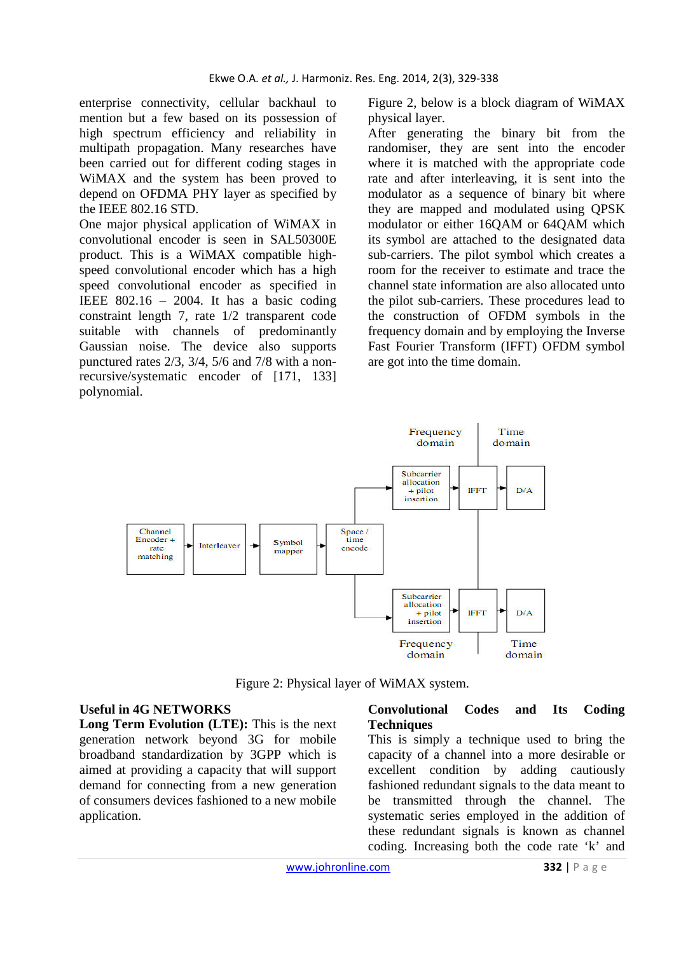enterprise connectivity, cellular backhaul to mention but a few based on its possession of high spectrum efficiency and reliability in multipath propagation. Many researches have been carried out for different coding stages in WiMAX and the system has been proved to depend on OFDMA PHY layer as specified by the IEEE 802.16 STD.

One major physical application of WiMAX in convolutional encoder is seen in SAL50300E product. This is a WiMAX compatible highspeed convolutional encoder which has a high speed convolutional encoder as specified in IEEE  $802.16 - 2004$ . It has a basic coding constraint length 7, rate 1/2 transparent code suitable with channels of predominantly Gaussian noise. The device also supports punctured rates 2/3, 3/4, 5/6 and 7/8 with a nonrecursive/systematic encoder of [171, 133] polynomial.

Figure 2, below is a block diagram of WiMAX physical layer.

After generating the binary bit from the randomiser, they are sent into the encoder where it is matched with the appropriate code rate and after interleaving, it is sent into the modulator as a sequence of binary bit where they are mapped and modulated using QPSK modulator or either 16QAM or 64QAM which its symbol are attached to the designated data sub-carriers. The pilot symbol which creates a room for the receiver to estimate and trace the channel state information are also allocated unto the pilot sub-carriers. These procedures lead to the construction of OFDM symbols in the frequency domain and by employing the Inverse Fast Fourier Transform (IFFT) OFDM symbol are got into the time domain.



Figure 2: Physical layer of WiMAX system.

#### **Useful in 4G NETWORKS**

**Long Term Evolution (LTE):** This is the next generation network beyond 3G for mobile broadband standardization by 3GPP which is aimed at providing a capacity that will support demand for connecting from a new generation of consumers devices fashioned to a new mobile application.

### **Convolutional Codes and Its Coding Techniques**

This is simply a technique used to bring the capacity of a channel into a more desirable or excellent condition by adding cautiously fashioned redundant signals to the data meant to be transmitted through the channel. The systematic series employed in the addition of these redundant signals is known as channel coding. Increasing both the code rate 'k' and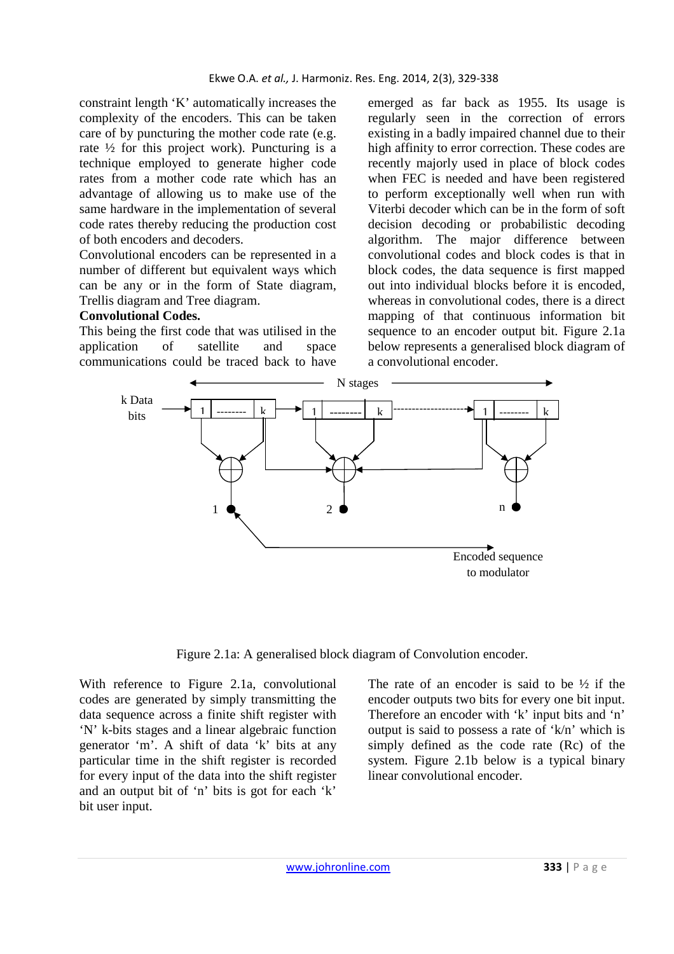constraint length 'K' automatically increases the complexity of the encoders. This can be taken care of by puncturing the mother code rate (e.g. rate  $\frac{1}{2}$  for this project work). Puncturing is a technique employed to generate higher code rates from a mother code rate which has an advantage of allowing us to make use of the same hardware in the implementation of several code rates thereby reducing the production cost of both encoders and decoders.

Convolutional encoders can be represented in a number of different but equivalent ways which can be any or in the form of State diagram, Trellis diagram and Tree diagram.

### **Convolutional Codes.**

This being the first code that was utilised in the application of satellite and space communications could be traced back to have emerged as far back as 1955. Its usage is regularly seen in the correction of errors existing in a badly impaired channel due to their high affinity to error correction. These codes are recently majorly used in place of block codes when FEC is needed and have been registered to perform exceptionally well when run with Viterbi decoder which can be in the form of soft decision decoding or probabilistic decoding algorithm. The major difference between convolutional codes and block codes is that in block codes, the data sequence is first mapped out into individual blocks before it is encoded, whereas in convolutional codes, there is a direct mapping of that continuous information bit sequence to an encoder output bit. Figure 2.1a below represents a generalised block diagram of a convolutional encoder.



Figure 2.1a: A generalised block diagram of Convolution encoder.

With reference to Figure 2.1a, convolutional codes are generated by simply transmitting the data sequence across a finite shift register with 'N' k-bits stages and a linear algebraic function generator 'm'. A shift of data 'k' bits at any particular time in the shift register is recorded for every input of the data into the shift register and an output bit of 'n' bits is got for each 'k' bit user input.

The rate of an encoder is said to be  $\frac{1}{2}$  if the encoder outputs two bits for every one bit input. Therefore an encoder with 'k' input bits and 'n' output is said to possess a rate of 'k/n' which is simply defined as the code rate (Rc) of the system. Figure 2.1b below is a typical binary linear convolutional encoder.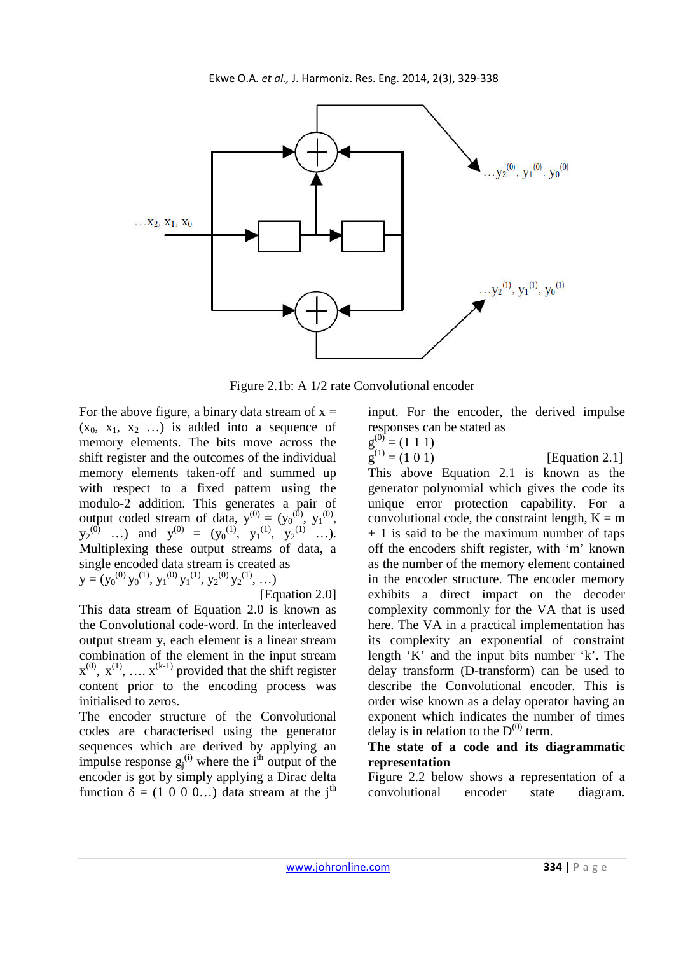

Figure 2.1b: A 1/2 rate Convolutional encoder

For the above figure, a binary data stream of  $x =$  $(x_0, x_1, x_2, ...)$  is added into a sequence of memory elements. The bits move across the shift register and the outcomes of the individual memory elements taken-off and summed up with respect to a fixed pattern using the modulo-2 addition. This generates a pair of output coded stream of data,  $y^{(0)} = (y_0^{(0)}, y_1^{(0)},$  $y_2^{(0)}$  ...) and  $y^{(0)} = (y_0^{(1)}, y_1^{(1)}, y_2^{(1)}, \ldots)$ . Multiplexing these output streams of data, a single encoded data stream is created as  $y = (y_0^{(0)} y_0^{(1)}, y_1^{(0)} y_1^{(1)}, y_2^{(0)} y_2^{(1)}, \ldots)$ 

$$
[Equation 2.0]
$$

This data stream of Equation 2.0 is known as the Convolutional code-word. In the interleaved output stream y, each element is a linear stream combination of the element in the input stream  $x^{(0)}$ ,  $x^{(1)}$ , ...,  $x^{(k-1)}$  provided that the shift register content prior to the encoding process was initialised to zeros.

The encoder structure of the Convolutional codes are characterised using the generator sequences which are derived by applying an impulse response  $g_j^{(i)}$  where the i<sup>th</sup> output of the encoder is got by simply applying a Dirac delta function  $\delta = (1 \ 0 \ 0 \ 0...)$  data stream at the j<sup>th</sup>

input. For the encoder, the derived impulse responses can be stated as  $(0)$  $(1\ 1\ 1)$ 

$$
g^{(0)} = (1 \ 1 \ 1)
$$

 $g^{(1)} = (1 \ 0 \ 1)$  $[Equation 2.1]$ This above Equation 2.1 is known as the generator polynomial which gives the code its unique error protection capability. For a convolutional code, the constraint length,  $K = m$ + 1 is said to be the maximum number of taps off the encoders shift register, with 'm' known as the number of the memory element contained in the encoder structure. The encoder memory exhibits a direct impact on the decoder complexity commonly for the VA that is used here. The VA in a practical implementation has its complexity an exponential of constraint length 'K' and the input bits number 'k'. The delay transform (D-transform) can be used to describe the Convolutional encoder. This is order wise known as a delay operator having an exponent which indicates the number of times delay is in relation to the  $D^{(0)}$  term.

## **The state of a code and its diagrammatic representation**

Figure 2.2 below shows a representation of a convolutional encoder state diagram.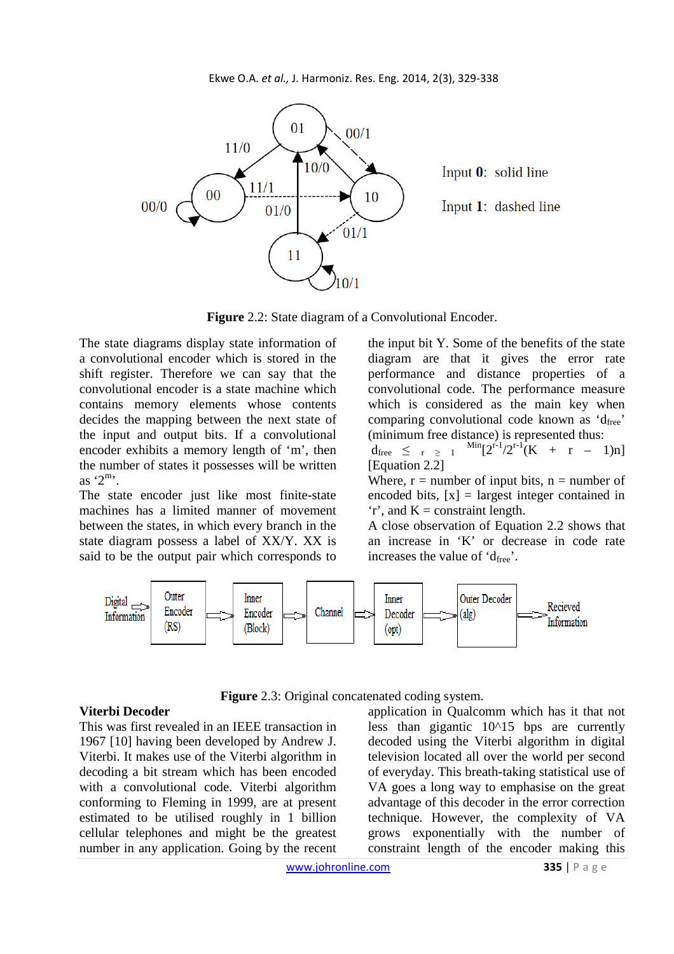

**Figure** 2.2: State diagram of a Convolutional Encoder.

The state diagrams display state information of a convolutional encoder which is stored in the shift register. Therefore we can say that the convolutional encoder is a state machine which contains memory elements whose contents decides the mapping between the next state of the input and output bits. If a convolutional encoder exhibits a memory length of 'm', then the number of states it possesses will be written as  $2^m$ .

The state encoder just like most finite-state machines has a limited manner of movement between the states, in which every branch in the state diagram possess a label of XX/Y. XX is said to be the output pair which corresponds to the input bit Y. Some of the benefits of the state diagram are that it gives the error rate performance and distance properties of a convolutional code. The performance measure which is considered as the main key when comparing convolutional code known as  $d_{\text{free}}$ (minimum free distance) is represented thus:  $d_{\text{free}} \leq r \geq 1$  $\frac{\text{Min}[2^{r-1}/2^{r-1}(K + r - 1)n]}{F}$ 

[Equation 2.2]

Where,  $r =$  number of input bits,  $n =$  number of encoded bits,  $[x]$  = largest integer contained in  $r'$ , and  $K =$  constraint length.

A close observation of Equation 2.2 shows that an increase in 'K' or decrease in code rate increases the value of  $d_{\text{free}}$ .



**Figure** 2.3: Original concatenated coding system.

### **Viterbi Decoder**

This was first revealed in an IEEE transaction in 1967 [10] having been developed by Andrew J. Viterbi. It makes use of the Viterbi algorithm in decoding a bit stream which has been encoded with a convolutional code. Viterbi algorithm conforming to Fleming in 1999, are at present estimated to be utilised roughly in 1 billion cellular telephones and might be the greatest number in any application. Going by the recent application in Qualcomm which has it that not less than gigantic  $10^{\text{A}}15$  bps are currently decoded using the Viterbi algorithm in digital television located all over the world per second of everyday. This breath-taking statistical use of VA goes a long way to emphasise on the great advantage of this decoder in the error correction technique. However, the complexity of VA grows exponentially with the number of constraint length of the encoder making this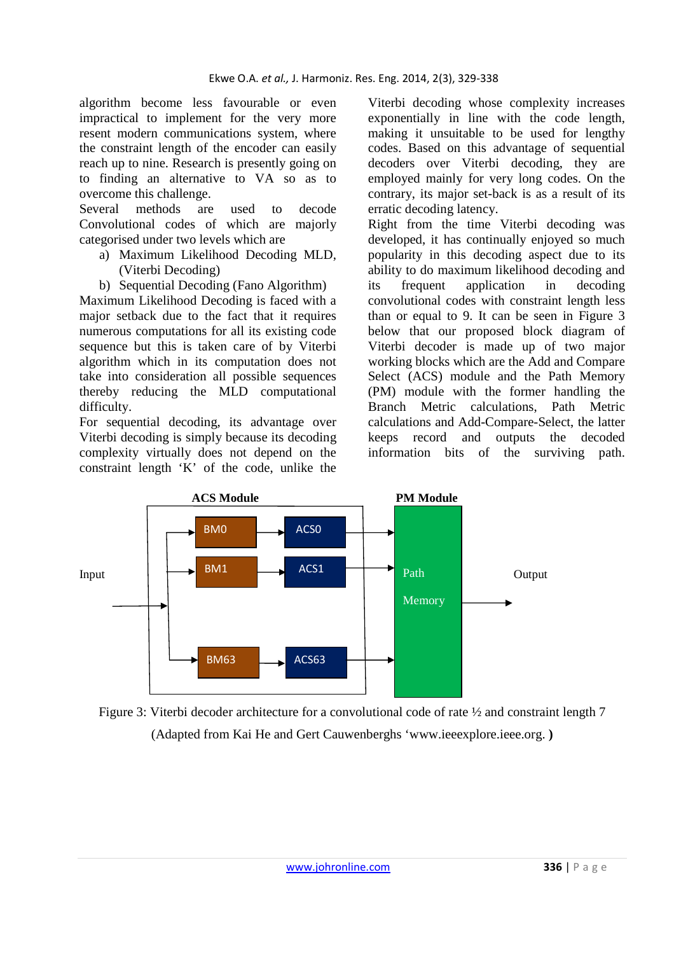algorithm become less favourable or even impractical to implement for the very more resent modern communications system, where the constraint length of the encoder can easily reach up to nine. Research is presently going on to finding an alternative to VA so as to overcome this challenge.

Several methods are used to decode Convolutional codes of which are majorly categorised under two levels which are

- a) Maximum Likelihood Decoding MLD, (Viterbi Decoding)
- b) Sequential Decoding (Fano Algorithm)

Maximum Likelihood Decoding is faced with a major setback due to the fact that it requires numerous computations for all its existing code sequence but this is taken care of by Viterbi algorithm which in its computation does not take into consideration all possible sequences thereby reducing the MLD computational difficulty.

For sequential decoding, its advantage over Viterbi decoding is simply because its decoding complexity virtually does not depend on the constraint length 'K' of the code, unlike the

Viterbi decoding whose complexity increases exponentially in line with the code length, making it unsuitable to be used for lengthy codes. Based on this advantage of sequential decoders over Viterbi decoding, they are employed mainly for very long codes. On the contrary, its major set-back is as a result of its erratic decoding latency.

Right from the time Viterbi decoding was developed, it has continually enjoyed so much popularity in this decoding aspect due to its ability to do maximum likelihood decoding and its frequent application in decoding convolutional codes with constraint length less than or equal to 9. It can be seen in Figure 3 below that our proposed block diagram of Viterbi decoder is made up of two major working blocks which are the Add and Compare Select (ACS) module and the Path Memory (PM) module with the former handling the Branch Metric calculations, Path Metric calculations and Add-Compare-Select, the latter keeps record and outputs the decoded information bits of the surviving path.



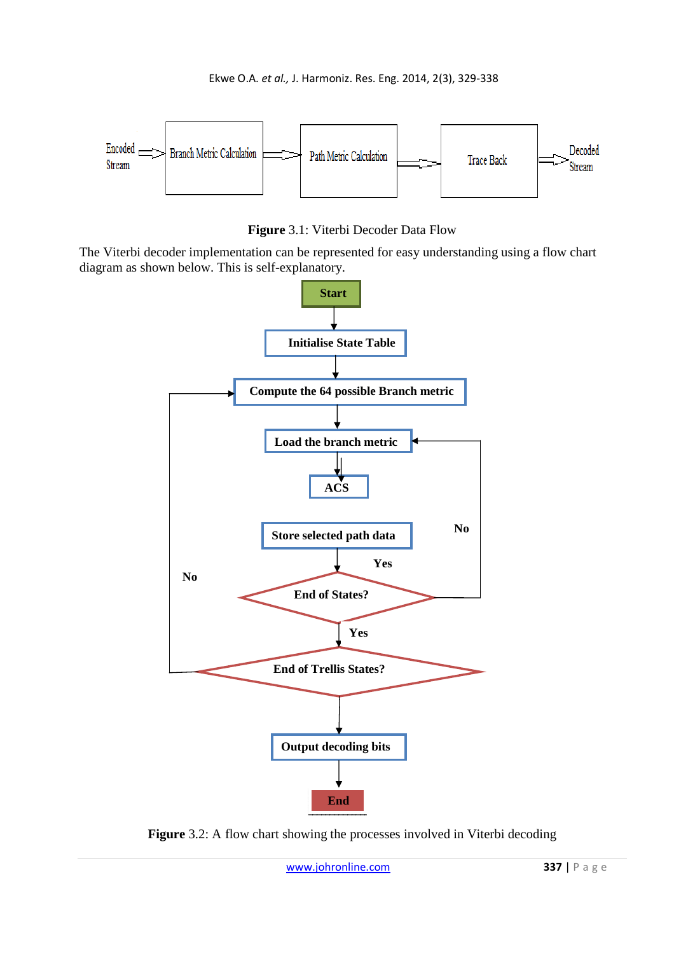

**Figure** 3.1: Viterbi Decoder Data Flow

The Viterbi decoder implementation can be represented for easy understanding using a flow chart diagram as shown below. This is self-explanatory.



**Figure** 3.2: A flow chart showing the processes involved in Viterbi decoding